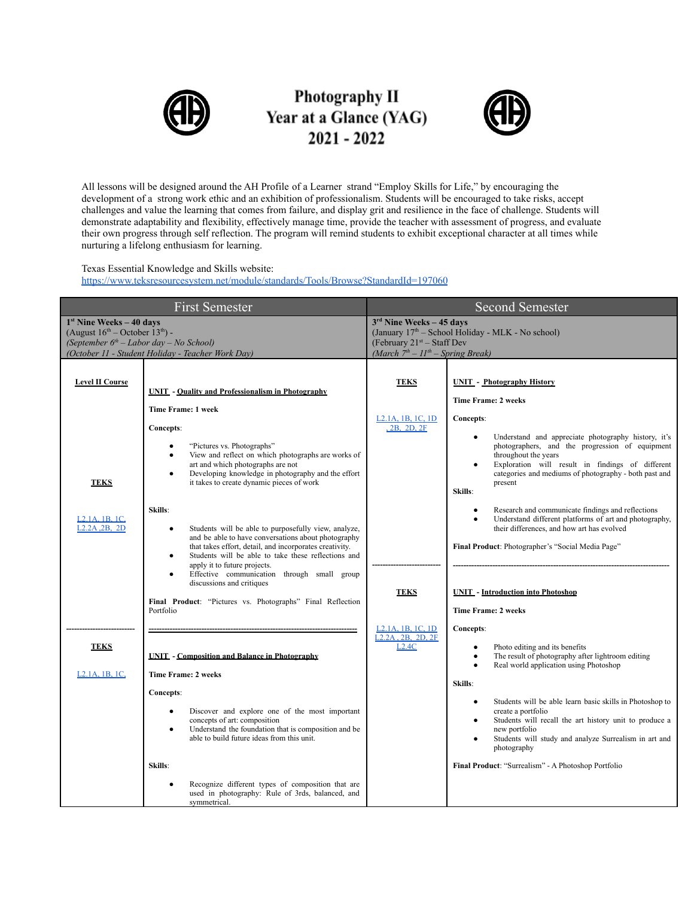

## Photography II Year at a Glance (YAG)  $2021 - 2022$



All lessons will be designed around the AH Profile of a Learner strand "Employ Skills for Life," by encouraging the development of a strong work ethic and an exhibition of professionalism. Students will be encouraged to take risks, accept challenges and value the learning that comes from failure, and display grit and resilience in the face of challenge. Students will demonstrate adaptability and flexibility, effectively manage time, provide the teacher with assessment of progress, and evaluate their own progress through self reflection. The program will remind students to exhibit exceptional character at all times while nurturing a lifelong enthusiasm for learning.

## Texas Essential Knowledge and Skills website:

<https://www.teksresourcesystem.net/module/standards/Tools/Browse?StandardId=197060>

| <b>First Semester</b>                                                                                                              |                                                                                                                                                                                                                                                                                                                                                                                                                                                           | <b>Second Semester</b>                                                                                                         |                                                                                                                                                                                                                                                                                                          |
|------------------------------------------------------------------------------------------------------------------------------------|-----------------------------------------------------------------------------------------------------------------------------------------------------------------------------------------------------------------------------------------------------------------------------------------------------------------------------------------------------------------------------------------------------------------------------------------------------------|--------------------------------------------------------------------------------------------------------------------------------|----------------------------------------------------------------------------------------------------------------------------------------------------------------------------------------------------------------------------------------------------------------------------------------------------------|
| $1st$ Nine Weeks – 40 days<br>(August $16^{\text{th}}$ – October $13^{\text{th}}$ ) -<br>(September $6th$ – Labor day – No School) |                                                                                                                                                                                                                                                                                                                                                                                                                                                           | $3rd$ Nine Weeks – 45 days<br>(January 17 <sup>th</sup> - School Holiday - MLK - No school)<br>(February $21^{st}$ – Staff Dev |                                                                                                                                                                                                                                                                                                          |
| (October 11 - Student Holiday - Teacher Work Day)                                                                                  |                                                                                                                                                                                                                                                                                                                                                                                                                                                           | (March $7th - 11th - Spring Break$ )                                                                                           |                                                                                                                                                                                                                                                                                                          |
| <b>Level II Course</b>                                                                                                             | <b>UNIT</b> - Quality and Professionalism in Photography<br>Time Frame: 1 week                                                                                                                                                                                                                                                                                                                                                                            | <b>TEKS</b>                                                                                                                    | <b>UNIT</b> - Photography History<br><b>Time Frame: 2 weeks</b>                                                                                                                                                                                                                                          |
| <b>TEKS</b>                                                                                                                        | Concepts:<br>"Pictures vs. Photographs"<br>$\bullet$<br>View and reflect on which photographs are works of<br>$\bullet$<br>art and which photographs are not<br>Developing knowledge in photography and the effort<br>$\bullet$<br>it takes to create dynamic pieces of work                                                                                                                                                                              | L <sub>2</sub> .1A, 1B, 1C, 1D<br>2B, 2D, 2F                                                                                   | Concepts:<br>Understand and appreciate photography history, it's<br>$\bullet$<br>photographers, and the progression of equipment<br>throughout the years<br>Exploration will result in findings of different<br>$\bullet$<br>categories and mediums of photography - both past and<br>present<br>Skills: |
| L <sub>2</sub> .1A, 1B, 1C<br>L <sub>2</sub> .2A, 2B, 2D                                                                           | Skills:<br>Students will be able to purposefully view, analyze,<br>$\bullet$<br>and be able to have conversations about photography<br>that takes effort, detail, and incorporates creativity.<br>Students will be able to take these reflections and<br>$\bullet$<br>apply it to future projects.<br>Effective communication through small group<br>$\bullet$<br>discussions and critiques<br>Final Product: "Pictures vs. Photographs" Final Reflection | <b>TEKS</b>                                                                                                                    | Research and communicate findings and reflections<br>$\bullet$<br>Understand different platforms of art and photography,<br>$\bullet$<br>their differences, and how art has evolved<br>Final Product: Photographer's "Social Media Page"<br><b>UNIT</b> - Introduction into Photoshop                    |
|                                                                                                                                    | Portfolio                                                                                                                                                                                                                                                                                                                                                                                                                                                 | L <sub>2</sub> , 1A, 1B, 1C, 1D                                                                                                | <b>Time Frame: 2 weeks</b><br>Concepts:                                                                                                                                                                                                                                                                  |
| <b>TEKS</b><br>L <sub>2</sub> .1A, 1B, 1C                                                                                          | <b>UNIT - Composition and Balance in Photography</b><br><b>Time Frame: 2 weeks</b><br><b>Concepts:</b>                                                                                                                                                                                                                                                                                                                                                    | L <sub>2</sub> .2A, 2B, 2D, 2F<br>L2.4C                                                                                        | Photo editing and its benefits<br>$\bullet$<br>The result of photography after lightroom editing<br>$\bullet$<br>Real world application using Photoshop<br>$\bullet$<br>Skills:                                                                                                                          |
|                                                                                                                                    | Discover and explore one of the most important<br>$\bullet$<br>concepts of art: composition<br>Understand the foundation that is composition and be<br>$\bullet$<br>able to build future ideas from this unit.                                                                                                                                                                                                                                            |                                                                                                                                | Students will be able learn basic skills in Photoshop to<br>$\bullet$<br>create a portfolio<br>Students will recall the art history unit to produce a<br>$\bullet$<br>new portfolio<br>Students will study and analyze Surrealism in art and<br>$\bullet$<br>photography                                 |
|                                                                                                                                    | Skills:<br>Recognize different types of composition that are<br>$\bullet$<br>used in photography: Rule of 3rds, balanced, and<br>symmetrical.                                                                                                                                                                                                                                                                                                             |                                                                                                                                | Final Product: "Surrealism" - A Photoshop Portfolio                                                                                                                                                                                                                                                      |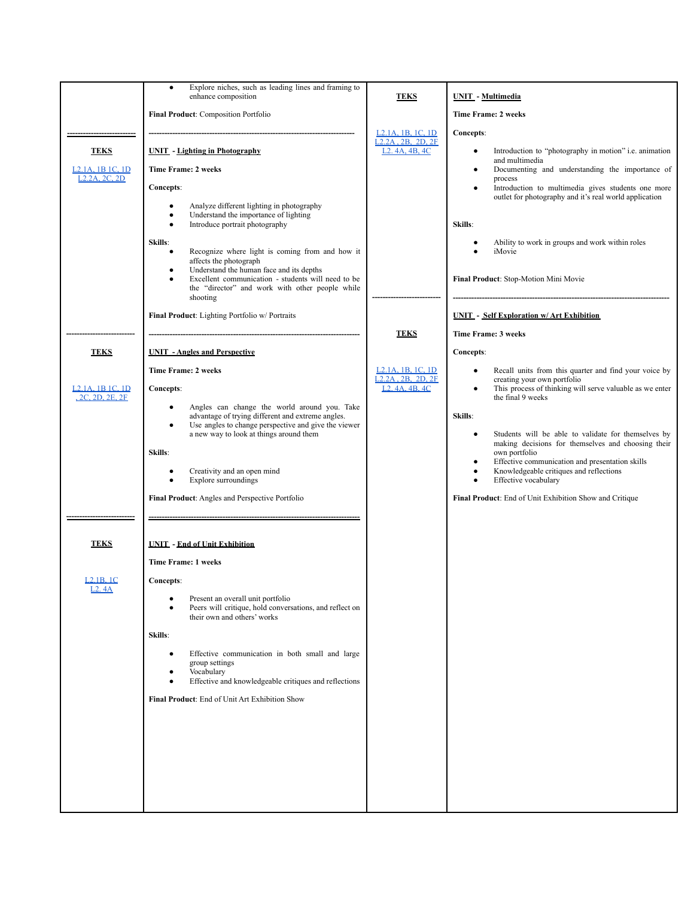|                            | Explore niches, such as leading lines and framing to<br>$\bullet$<br>enhance composition                                                                                        | <b>TEKS</b>                                                                                     | <b>UNIT</b> - Multimedia                                                                                                                                                   |
|----------------------------|---------------------------------------------------------------------------------------------------------------------------------------------------------------------------------|-------------------------------------------------------------------------------------------------|----------------------------------------------------------------------------------------------------------------------------------------------------------------------------|
|                            | Final Product: Composition Portfolio                                                                                                                                            |                                                                                                 | <b>Time Frame: 2 weeks</b>                                                                                                                                                 |
|                            |                                                                                                                                                                                 | L <sub>2</sub> .1A, 1B, 1C, 1D                                                                  | Concepts:                                                                                                                                                                  |
| <b>TEKS</b>                | <b>UNIT</b> - Lighting in Photography                                                                                                                                           | $L2.2A$ , $2B$ , $2D$ , $2F$<br>L <sub>2</sub> . 4A, 4B, 4C                                     | Introduction to "photography in motion" i.e. animation<br>$\bullet$<br>and multimedia                                                                                      |
| <b>L2.1A, 1B 1C, 1D</b>    | <b>Time Frame: 2 weeks</b>                                                                                                                                                      |                                                                                                 | Documenting and understanding the importance of                                                                                                                            |
| L <sub>2</sub> .2A, 2C, 2D | Concepts:                                                                                                                                                                       |                                                                                                 | process<br>Introduction to multimedia gives students one more<br>$\bullet$                                                                                                 |
|                            | Analyze different lighting in photography<br>$\bullet$<br>Understand the importance of lighting<br>$\bullet$                                                                    |                                                                                                 | outlet for photography and it's real world application                                                                                                                     |
|                            | Introduce portrait photography<br>$\bullet$                                                                                                                                     |                                                                                                 | Skills:                                                                                                                                                                    |
|                            | Skills:<br>Recognize where light is coming from and how it<br>$\bullet$<br>affects the photograph                                                                               |                                                                                                 | Ability to work in groups and work within roles<br>iMovie                                                                                                                  |
|                            | Understand the human face and its depths<br>٠<br>Excellent communication - students will need to be<br>$\bullet$<br>the "director" and work with other people while<br>shooting |                                                                                                 | Final Product: Stop-Motion Mini Movie                                                                                                                                      |
|                            | Final Product: Lighting Portfolio w/ Portraits                                                                                                                                  |                                                                                                 | <b>UNIT</b> - Self Exploration w/ Art Exhibition                                                                                                                           |
|                            |                                                                                                                                                                                 | <b>TEKS</b>                                                                                     | Time Frame: 3 weeks                                                                                                                                                        |
| <b>TEKS</b>                | <b>UNIT</b> - Angles and Perspective                                                                                                                                            |                                                                                                 | Concepts:                                                                                                                                                                  |
| L2.1A. 1B 1C. 1D           | <b>Time Frame: 2 weeks</b><br><b>Concepts:</b>                                                                                                                                  | L <sub>2</sub> .1A, 1B, 1C, 1D<br>L <sub>2</sub> .2A, 2B, 2D, 2F<br>L <sub>2</sub> , 4A, 4B, 4C | Recall units from this quarter and find your voice by<br>$\bullet$<br>creating your own portfolio<br>This process of thinking will serve valuable as we enter<br>$\bullet$ |
| 2C, 2D, 2E, 2F             | Angles can change the world around you. Take<br>$\bullet$                                                                                                                       |                                                                                                 | the final 9 weeks                                                                                                                                                          |
|                            | advantage of trying different and extreme angles.<br>Use angles to change perspective and give the viewer<br>$\bullet$                                                          |                                                                                                 | Skills:                                                                                                                                                                    |
|                            | a new way to look at things around them                                                                                                                                         |                                                                                                 | Students will be able to validate for themselves by<br>$\bullet$<br>making decisions for themselves and choosing their                                                     |
|                            | Skills:                                                                                                                                                                         |                                                                                                 | own portfolio<br>Effective communication and presentation skills<br>$\bullet$                                                                                              |
|                            | Creativity and an open mind<br>$\bullet$<br>Explore surroundings<br>$\bullet$                                                                                                   |                                                                                                 | Knowledgeable critiques and reflections<br>$\bullet$<br>Effective vocabulary<br>$\bullet$                                                                                  |
|                            | Final Product: Angles and Perspective Portfolio                                                                                                                                 |                                                                                                 | Final Product: End of Unit Exhibition Show and Critique                                                                                                                    |
|                            |                                                                                                                                                                                 |                                                                                                 |                                                                                                                                                                            |
|                            |                                                                                                                                                                                 |                                                                                                 |                                                                                                                                                                            |
| <b>TEKS</b>                | <b>UNIT - End of Unit Exhibition</b>                                                                                                                                            |                                                                                                 |                                                                                                                                                                            |
|                            | <b>Time Frame: 1 weeks</b>                                                                                                                                                      |                                                                                                 |                                                                                                                                                                            |
| L2.1B.1C                   | Concepts:                                                                                                                                                                       |                                                                                                 |                                                                                                                                                                            |
| LZ. 4A                     | Present an overall unit portfolio<br>٠<br>Peers will critique, hold conversations, and reflect on<br>$\bullet$                                                                  |                                                                                                 |                                                                                                                                                                            |
|                            | their own and others' works                                                                                                                                                     |                                                                                                 |                                                                                                                                                                            |
|                            | Skills:                                                                                                                                                                         |                                                                                                 |                                                                                                                                                                            |
|                            | Effective communication in both small and large<br>$\bullet$                                                                                                                    |                                                                                                 |                                                                                                                                                                            |
|                            | group settings<br>Vocabulary                                                                                                                                                    |                                                                                                 |                                                                                                                                                                            |
|                            | Effective and knowledgeable critiques and reflections<br>$\bullet$                                                                                                              |                                                                                                 |                                                                                                                                                                            |
|                            | Final Product: End of Unit Art Exhibition Show                                                                                                                                  |                                                                                                 |                                                                                                                                                                            |
|                            |                                                                                                                                                                                 |                                                                                                 |                                                                                                                                                                            |
|                            |                                                                                                                                                                                 |                                                                                                 |                                                                                                                                                                            |
|                            |                                                                                                                                                                                 |                                                                                                 |                                                                                                                                                                            |
|                            |                                                                                                                                                                                 |                                                                                                 |                                                                                                                                                                            |
|                            |                                                                                                                                                                                 |                                                                                                 |                                                                                                                                                                            |
|                            |                                                                                                                                                                                 |                                                                                                 |                                                                                                                                                                            |